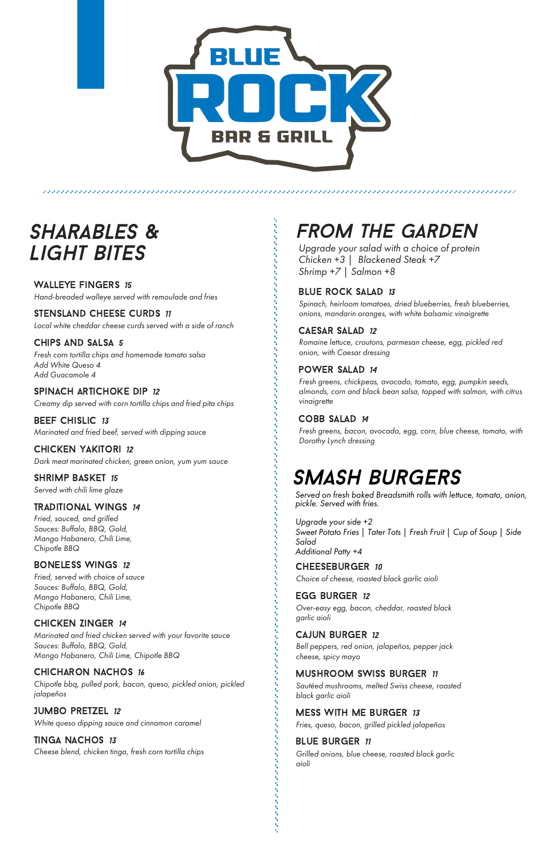

ひとうしんしんしんしゃ

# Sharables & Light Bites

WALLEYE FINGERS 15 *Hand-breaded walleye served with remoulade and fries*

STENSLAND CHEESE CURDS 11 *Local white cheddar cheese curds served with a side of ranch*

### Chips and Salsa 5

**BEEF CHISLIC 13** *Marinated and fried beef, served with dipping sauce*

*Fresh corn tortilla chips and homemade tomato salsa Add White Queso 4 Add Guacamole 4*

### SPINACH ARTICHOKE DIP 12

SHRIMP BASKET 15 *Served with chili lime glaze*

*Creamy dip served with corn tortilla chips and fried pita chips*

### Chicken Yakitori 12

*Dark meat marinated chicken, green onion, yum yum sauce*

#### Traditional Wings 14

*Fried, sauced, and grilled Sauces: Buffalo, BBQ, Gold, Mango Habanero, Chili Lime, Chipotle BBQ*

#### Boneless Wings 12

*Fried, served with choice of sauce Sauces: Buffalo, BBQ, Gold, Mango Habanero, Chili Lime, Chipotle BBQ*

### Chicken Zinger 14

*Marinated and fried chicken served with your favorite sauce Sauces: Buffalo, BBQ, Gold, Mango Habanero, Chili Lime, Chipotle BBQ*

#### Chicharon Nachos 16

*Chipotle bbq, pulled pork, bacon, queso, pickled onion, pickled jalapeños*

### Jumbo pretzel 12

*White queso dipping sauce and cinnamon caramel*

**TINGA NACHOS 13** 

*Cheese blend, chicken tinga, fresh corn tortilla chips*

# From The Garden

*Upgrade your salad with a choice of protein Chicken +3 | Blackened Steak +7 Shrimp +7 | Salmon +8*

#### BLUE ROCK SALAD 13

*Spinach, heirloom tomatoes, dried blueberries, fresh blueberries, onions, mandarin oranges, with white balsamic vinaigrette*

#### CAESAR SALAD 12

*Romaine lettuce, croutons, parmesan cheese, egg, pickled red onion, with Caesar dressing*

### power salad 14

*Fresh greens, chickpeas, avocado, tomato, egg, pumpkin seeds, almonds, corn and black bean salsa, topped with salmon, with citrus vinaigrette*

#### COBB SALAD 14

*Fresh greens, bacon, avocado, egg, corn, blue cheese, tomato, with Dorothy Lynch dressing*

*Choice of cheese, roasted black garlic aioli*

#### **EGG BURGER 12**

*Over-easy egg, bacon, cheddar, roasted black garlic aioli*

#### Cajun Burger 12

*Bell peppers, red onion, jalapeños, pepper jack cheese, spicy mayo*

### mushroom swiss burger 11

*Sautéed mushrooms, melted Swiss cheese, roasted black garlic aioli*

#### MESS WITH ME BURGER 13

*Fries, queso, bacon, grilled pickled jalapeños*

#### **BLUE BURGER 11**

*Grilled onions, blue cheese, roasted black garlic aioli*

# smash burgers

*Served on fresh baked Breadsmith rolls with lettuce, tomato, onion, pickle. Served with fries.*

*Upgrade your side +2 Sweet Potato Fries | Tater Tots | Fresh Fruit | Cup of Soup | Side Salad Additional Patty +4*

#### CHEESEBURGER 10